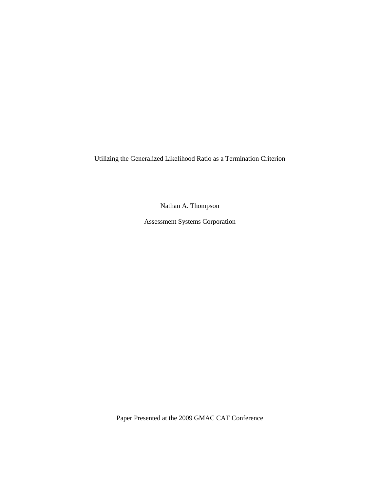Utilizing the Generalized Likelihood Ratio as a Termination Criterion

Nathan A. Thompson

Assessment Systems Corporation

Paper Presented at the 2009 GMAC CAT Conference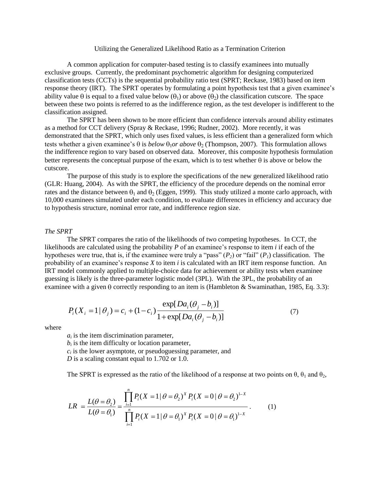## Utilizing the Generalized Likelihood Ratio as a Termination Criterion

A common application for computer-based testing is to classify examinees into mutually exclusive groups. Currently, the predominant psychometric algorithm for designing computerized classification tests (CCTs) is the sequential probability ratio test (SPRT; Reckase, 1983) based on item response theory (IRT). The SPRT operates by formulating a point hypothesis test that a given examinee's ability value  $\theta$  is equal to a fixed value below  $(\theta_1)$  or above  $(\theta_2)$  the classification cutscore. The space between these two points is referred to as the indifference region, as the test developer is indifferent to the classification assigned.

The SPRT has been shown to be more efficient than confidence intervals around ability estimates as a method for CCT delivery (Spray & Reckase, 1996; Rudner, 2002). More recently, it was demonstrated that the SPRT, which only uses fixed values, is less efficient than a generalized form which tests whether a given examinee's  $\theta$  is *below*  $\theta_1$ *or above*  $\theta_2$  (Thompson, 2007). This formulation allows the indifference region to vary based on observed data. Moreover, this composite hypothesis formulation better represents the conceptual purpose of the exam, which is to test whether  $\theta$  is above or below the cutscore.

The purpose of this study is to explore the specifications of the new generalized likelihood ratio (GLR: Huang, 2004). As with the SPRT, the efficiency of the procedure depends on the nominal error rates and the distance between  $\theta_1$  and  $\theta_2$  (Eggen, 1999). This study utilized a monte carlo approach, with 10,000 examinees simulated under each condition, to evaluate differences in efficiency and accuracy due to hypothesis structure, nominal error rate, and indifference region size.

#### *The SPRT*

The SPRT compares the ratio of the likelihoods of two competing hypotheses. In CCT, the likelihoods are calculated using the probability *P* of an examinee's response to item *i* if each of the hypotheses were true, that is, if the examinee were truly a "pass"  $(P_2)$  or "fail"  $(P_1)$  classification. The probability of an examinee's response *X* to item *i* is calculated with an IRT item response function. An IRT model commonly applied to multiple-choice data for achievement or ability tests when examinee guessing is likely is the three-parameter logistic model (3PL). With the 3PL, the probability of an examinee with a given  $\theta$  correctly responding to an item is (Hambleton & Swaminathan, 1985, Eq. 3.3):

$$
P_i(X_i = 1 | \theta_j) = c_i + (1 - c_i) \frac{\exp[Da_i(\theta_j - b_i)]}{1 + \exp[Da_i(\theta_j - b_i)]}
$$
(7)

where

 $a_i$  is the item discrimination parameter,

 $b_i$  is the item difficulty or location parameter,

 $c_i$  is the lower asymptote, or pseudoguessing parameter, and

*D* is a scaling constant equal to 1.702 or 1.0.

The SPRT is expressed as the ratio of the likelihood of a response at two points on 
$$
\theta
$$
,  $\theta_1$  and  $\theta_2$ ,  
\n
$$
LR = \frac{L(\theta = \theta_2)}{L(\theta = \theta_1)} = \frac{\prod_{i=1}^{n} P_i (X = 1 | \theta = \theta_2)^{X} P_i (X = 0 | \theta = \theta_2)^{1-X}}{\prod_{i=1}^{n} P_i (X = 1 | \theta = \theta_1)^{X} P_i (X = 0 | \theta = \theta_1)^{1-X}}.
$$
\n(1)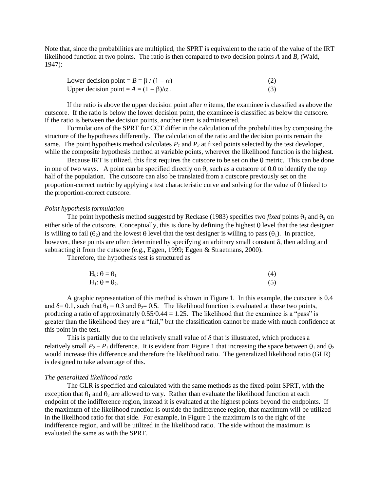Note that, since the probabilities are multiplied, the SPRT is equivalent to the ratio of the value of the IRT likelihood function at two points. The ratio is then compared to two decision points *A* and *B*, (Wald, 1947):

| Lower decision point = $B = \beta / (1 - \alpha)$ | (2) |
|---------------------------------------------------|-----|
| Upper decision point = $A = (1 - \beta)/\alpha$ . | (3) |

If the ratio is above the upper decision point after *n* items, the examinee is classified as above the cutscore. If the ratio is below the lower decision point, the examinee is classified as below the cutscore. If the ratio is between the decision points, another item is administered.

Formulations of the SPRT for CCT differ in the calculation of the probabilities by composing the structure of the hypotheses differently. The calculation of the ratio and the decision points remain the same. The point hypothesis method calculates  $P<sub>l</sub>$  and  $P<sub>2</sub>$  at fixed points selected by the test developer, while the composite hypothesis method at variable points, wherever the likelihood function is the highest.

Because IRT is utilized, this first requires the cutscore to be set on the  $\theta$  metric. This can be done in one of two ways. A point can be specified directly on  $\theta$ , such as a cutscore of 0.0 to identify the top half of the population. The cutscore can also be translated from a cutscore previously set on the proportion-correct metric by applying a test characteristic curve and solving for the value of  $\theta$  linked to the proportion-correct cutscore.

## *Point hypothesis formulation*

The point hypothesis method suggested by Reckase (1983) specifies two *fixed* points  $\theta_1$  and  $\theta_2$  on either side of the cutscore. Conceptually, this is done by defining the highest  $\theta$  level that the test designer is willing to fail  $(\theta_2)$  and the lowest  $\theta$  level that the test designer is willing to pass  $(\theta_1)$ . In practice, however, these points are often determined by specifying an arbitrary small constant  $\delta$ , then adding and subtracting it from the cutscore (e.g., Eggen, 1999; Eggen & Straetmans, 2000).

Therefore, the hypothesis test is structured as

| $H_0$ : $\theta = \theta_1$   | (4) |
|-------------------------------|-----|
| $H_1$ : $\theta = \theta_2$ . | (5) |

A graphic representation of this method is shown in Figure 1. In this example, the cutscore is 0.4 and  $\delta$ = 0.1, such that  $\theta_1$  = 0.3 and  $\theta_2$ = 0.5. The likelihood function is evaluated at these two points, producing a ratio of approximately  $0.55/0.44 = 1.25$ . The likelihood that the examinee is a "pass" is greater than the likelihood they are a "fail," but the classification cannot be made with much confidence at this point in the test.

This is partially due to the relatively small value of  $\delta$  that is illustrated, which produces a relatively small  $P_2 - P_1$  difference. It is evident from Figure 1 that increasing the space between  $\theta_1$  and  $\theta_2$ would increase this difference and therefore the likelihood ratio. The generalized likelihood ratio (GLR) is designed to take advantage of this.

## *The generalized likelihood ratio*

The GLR is specified and calculated with the same methods as the fixed-point SPRT, with the exception that  $\theta_1$  and  $\theta_2$  are allowed to vary. Rather than evaluate the likelihood function at each endpoint of the indifference region, instead it is evaluated at the highest points beyond the endpoints. If the maximum of the likelihood function is outside the indifference region, that maximum will be utilized in the likelihood ratio for that side. For example, in Figure 1 the maximum is to the right of the indifference region, and will be utilized in the likelihood ratio. The side without the maximum is evaluated the same as with the SPRT.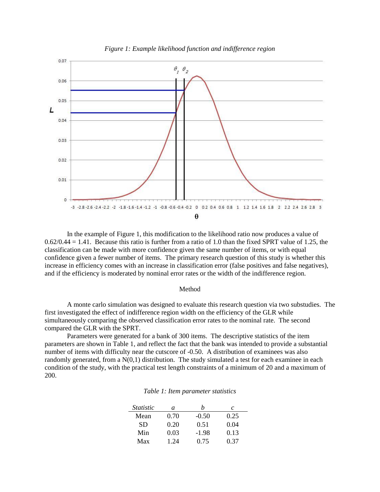

In the example of Figure 1, this modification to the likelihood ratio now produces a value of  $0.62/0.44 = 1.41$ . Because this ratio is further from a ratio of 1.0 than the fixed SPRT value of 1.25, the classification can be made with more confidence given the same number of items, or with equal confidence given a fewer number of items. The primary research question of this study is whether this increase in efficiency comes with an increase in classification error (false positives and false negatives), and if the efficiency is moderated by nominal error rates or the width of the indifference region.

#### Method

A monte carlo simulation was designed to evaluate this research question via two substudies. The first investigated the effect of indifference region width on the efficiency of the GLR while simultaneously comparing the observed classification error rates to the nominal rate. The second compared the GLR with the SPRT.

Parameters were generated for a bank of 300 items. The descriptive statistics of the item parameters are shown in Table 1, and reflect the fact that the bank was intended to provide a substantial number of items with difficulty near the cutscore of -0.50. A distribution of examinees was also randomly generated, from a  $N(0,1)$  distribution. The study simulated a test for each examinee in each condition of the study, with the practical test length constraints of a minimum of 20 and a maximum of 200.

| <i>Statistic</i> | a    |         | C    |
|------------------|------|---------|------|
| Mean             | 0.70 | $-0.50$ | 0.25 |
| <b>SD</b>        | 0.20 | 0.51    | 0.04 |
| Min              | 0.03 | $-1.98$ | 0.13 |
| Max              | 1 24 | 0.75    | 0.37 |

## *Table 1: Item parameter statistics*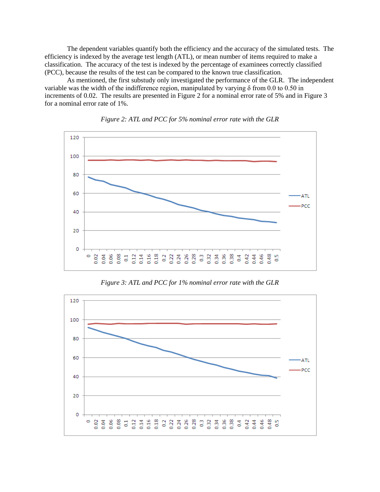The dependent variables quantify both the efficiency and the accuracy of the simulated tests. The efficiency is indexed by the average test length (ATL), or mean number of items required to make a classification. The accuracy of the test is indexed by the percentage of examinees correctly classified (PCC), because the results of the test can be compared to the known true classification.

As mentioned, the first substudy only investigated the performance of the GLR. The independent variable was the width of the indifference region, manipulated by varying  $\delta$  from 0.0 to 0.50 in increments of 0.02. The results are presented in Figure 2 for a nominal error rate of 5% and in Figure 3 for a nominal error rate of 1%.





*Figure 3: ATL and PCC for 1% nominal error rate with the GLR*

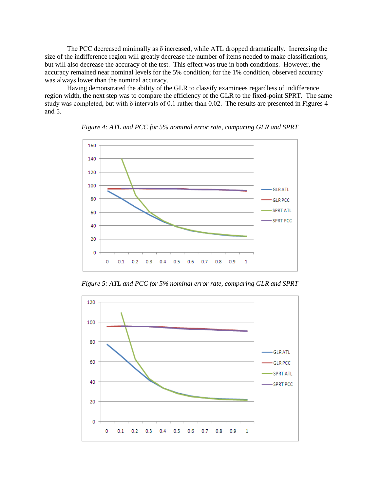The PCC decreased minimally as δ increased, while ATL dropped dramatically. Increasing the size of the indifference region will greatly decrease the number of items needed to make classifications, but will also decrease the accuracy of the test. This effect was true in both conditions. However, the accuracy remained near nominal levels for the 5% condition; for the 1% condition, observed accuracy was always lower than the nominal accuracy.

Having demonstrated the ability of the GLR to classify examinees regardless of indifference region width, the next step was to compare the efficiency of the GLR to the fixed-point SPRT. The same study was completed, but with δ intervals of 0.1 rather than 0.02. The results are presented in Figures 4 and 5.



*Figure 4: ATL and PCC for 5% nominal error rate, comparing GLR and SPRT*

*Figure 5: ATL and PCC for 5% nominal error rate, comparing GLR and SPRT*

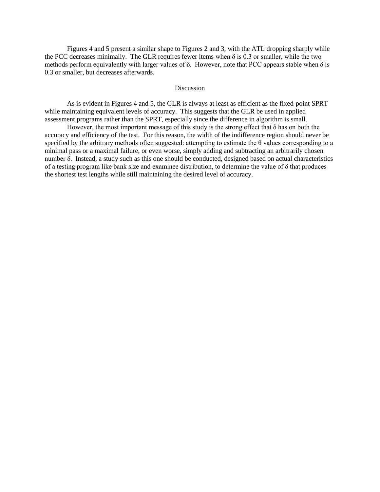Figures 4 and 5 present a similar shape to Figures 2 and 3, with the ATL dropping sharply while the PCC decreases minimally. The GLR requires fewer items when  $\delta$  is 0.3 or smaller, while the two methods perform equivalently with larger values of  $\delta$ . However, note that PCC appears stable when  $\delta$  is 0.3 or smaller, but decreases afterwards.

### Discussion

As is evident in Figures 4 and 5, the GLR is always at least as efficient as the fixed-point SPRT while maintaining equivalent levels of accuracy. This suggests that the GLR be used in applied assessment programs rather than the SPRT, especially since the difference in algorithm is small.

However, the most important message of this study is the strong effect that  $\delta$  has on both the accuracy and efficiency of the test. For this reason, the width of the indifference region should never be specified by the arbitrary methods often suggested: attempting to estimate the θ values corresponding to a minimal pass or a maximal failure, or even worse, simply adding and subtracting an arbitrarily chosen number δ. Instead, a study such as this one should be conducted, designed based on actual characteristics of a testing program like bank size and examinee distribution, to determine the value of δ that produces the shortest test lengths while still maintaining the desired level of accuracy.